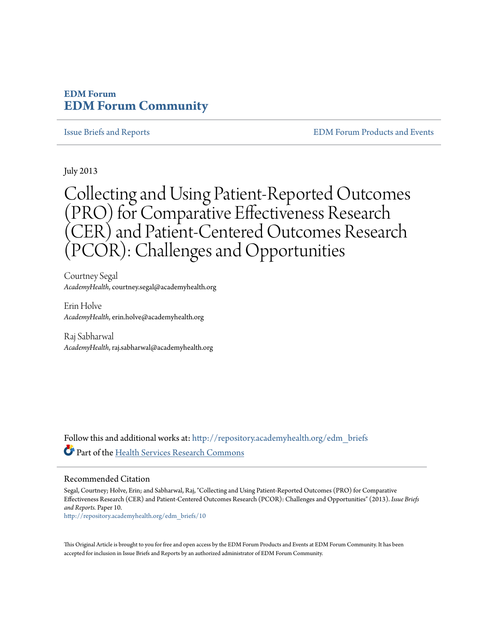### **EDM Forum [EDM Forum Community](http://repository.academyhealth.org?utm_source=repository.academyhealth.org%2Fedm_briefs%2F10&utm_medium=PDF&utm_campaign=PDFCoverPages)**

[Issue Briefs and Reports](http://repository.academyhealth.org/edm_briefs?utm_source=repository.academyhealth.org%2Fedm_briefs%2F10&utm_medium=PDF&utm_campaign=PDFCoverPages) [EDM Forum Products and Events](http://repository.academyhealth.org/edm_publications?utm_source=repository.academyhealth.org%2Fedm_briefs%2F10&utm_medium=PDF&utm_campaign=PDFCoverPages)

July 2013

Collecting and Using Patient-Reported Outcomes (PRO) for Comparative Effectiveness Research (CER) and Patient-Centered Outcomes Research (PCOR): Challenges and Opportunities

Courtney Segal *AcademyHealth*, courtney.segal@academyhealth.org

Erin Holve *AcademyHealth*, erin.holve@academyhealth.org

Raj Sabharwal *AcademyHealth*, raj.sabharwal@academyhealth.org

Follow this and additional works at: [http://repository.academyhealth.org/edm\\_briefs](http://repository.academyhealth.org/edm_briefs?utm_source=repository.academyhealth.org%2Fedm_briefs%2F10&utm_medium=PDF&utm_campaign=PDFCoverPages) Part of the [Health Services Research Commons](http://network.bepress.com/hgg/discipline/816?utm_source=repository.academyhealth.org%2Fedm_briefs%2F10&utm_medium=PDF&utm_campaign=PDFCoverPages)

#### Recommended Citation

Segal, Courtney; Holve, Erin; and Sabharwal, Raj, "Collecting and Using Patient-Reported Outcomes (PRO) for Comparative Effectiveness Research (CER) and Patient-Centered Outcomes Research (PCOR): Challenges and Opportunities" (2013). *Issue Briefs and Reports.* Paper 10.

[http://repository.academyhealth.org/edm\\_briefs/10](http://repository.academyhealth.org/edm_briefs/10?utm_source=repository.academyhealth.org%2Fedm_briefs%2F10&utm_medium=PDF&utm_campaign=PDFCoverPages)

This Original Article is brought to you for free and open access by the EDM Forum Products and Events at EDM Forum Community. It has been accepted for inclusion in Issue Briefs and Reports by an authorized administrator of EDM Forum Community.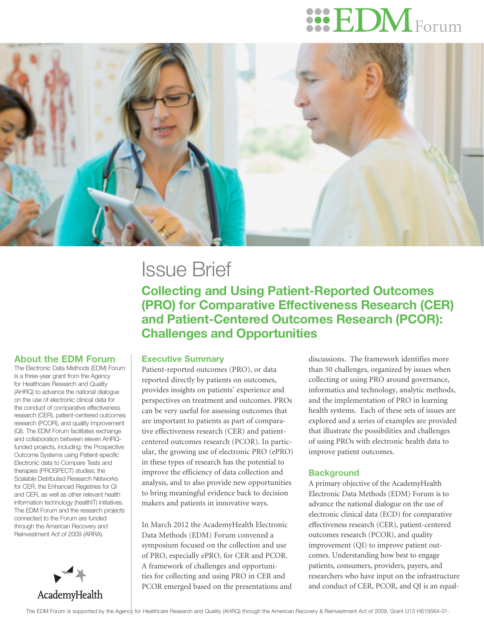# $\rm HDM_{\rm Form}$



## Issue Brief

**Collecting and Using Patient-Reported Outcomes (PRO) for Comparative Effectiveness Research (CER) and Patient-Centered Outcomes Research (PCOR): Challenges and Opportunities** 

#### About the EDM Forum

The Electronic Data Methods (EDM) Forum is a three-year grant from the Agency for Healthcare Research and Quality (AHRQ) to advance the national dialogue on the use of electronic clinical data for the conduct of comparative effectiveness research (CER), patient-centered outcomes research (PCOR), and quality improvement (QI). The EDM Forum facilitates exchange and collaboration between eleven AHRQfunded projects, including: the Prospective Outcome Systems using Patient-specific Electronic data to Compare Tests and therapies (PROSPECT) studies; the Scalable Distributed Research Networks for CER, the Enhanced Registries for QI and CER, as well as other relevant health information technology (healthIT) initiatives. The EDM Forum and the research projects connected to the Forum are funded through the American Recovery and Reinvestment Act of 2009 (ARRA).



#### Executive Summary

Patient-reported outcomes (PRO), or data reported directly by patients on outcomes, provides insights on patients' experience and perspectives on treatment and outcomes. PROs can be very useful for assessing outcomes that are important to patients as part of comparative effectiveness research (CER) and patientcentered outcomes research (PCOR). In particular, the growing use of electronic PRO (ePRO) in these types of research has the potential to improve the efficiency of data collection and analysis, and to also provide new opportunities to bring meaningful evidence back to decision makers and patients in innovative ways.

In March 2012 the AcademyHealth Electronic Data Methods (EDM) Forum convened a symposium focused on the collection and use of PRO, especially ePRO, for CER and PCOR. A framework of challenges and opportunities for collecting and using PRO in CER and PCOR emerged based on the presentations and

discussions. The framework identifies more than 50 challenges, organized by issues when collecting or using PRO around governance, informatics and technology, analytic methods, and the implementation of PRO in learning health systems. Each of these sets of issues are explored and a series of examples are provided that illustrate the possibilities and challenges of using PROs with electronic health data to improve patient outcomes.

#### **Background**

A primary objective of the AcademyHealth Electronic Data Methods (EDM) Forum is to advance the national dialogue on the use of electronic clinical data (ECD) for comparative effectiveness research (CER), patient-centered outcomes research (PCOR), and quality improvement (QI) to improve patient outcomes. Understanding how best to engage patients, consumers, providers, payers, and researchers who have input on the infrastructure and conduct of CER, PCOR, and QI is an equal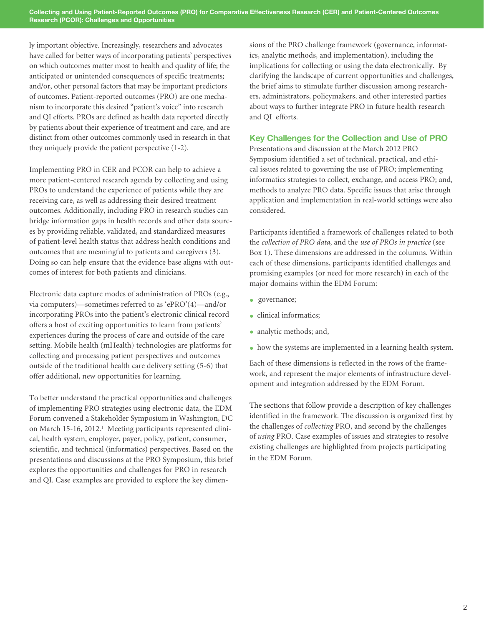ly important objective. Increasingly, researchers and advocates have called for better ways of incorporating patients' perspectives on which outcomes matter most to health and quality of life; the anticipated or unintended consequences of specific treatments; and/or, other personal factors that may be important predictors of outcomes. Patient-reported outcomes (PRO) are one mechanism to incorporate this desired "patient's voice" into research and QI efforts. PROs are defined as health data reported directly by patients about their experience of treatment and care, and are distinct from other outcomes commonly used in research in that they uniquely provide the patient perspective (1-2).

Implementing PRO in CER and PCOR can help to achieve a more patient-centered research agenda by collecting and using PROs to understand the experience of patients while they are receiving care, as well as addressing their desired treatment outcomes. Additionally, including PRO in research studies can bridge information gaps in health records and other data sources by providing reliable, validated, and standardized measures of patient-level health status that address health conditions and outcomes that are meaningful to patients and caregivers (3). Doing so can help ensure that the evidence base aligns with outcomes of interest for both patients and clinicians.

Electronic data capture modes of administration of PROs (e.g., via computers)—sometimes referred to as 'ePRO'(4)—and/or incorporating PROs into the patient's electronic clinical record offers a host of exciting opportunities to learn from patients' experiences during the process of care and outside of the care setting. Mobile health (mHealth) technologies are platforms for collecting and processing patient perspectives and outcomes outside of the traditional health care delivery setting (5-6) that offer additional, new opportunities for learning.

To better understand the practical opportunities and challenges of implementing PRO strategies using electronic data, the EDM Forum convened a Stakeholder Symposium in Washington, DC on March 15-16, 2012.<sup>1</sup> Meeting participants represented clinical, health system, employer, payer, policy, patient, consumer, scientific, and technical (informatics) perspectives. Based on the presentations and discussions at the PRO Symposium, this brief explores the opportunities and challenges for PRO in research and QI. Case examples are provided to explore the key dimensions of the PRO challenge framework (governance, informatics, analytic methods, and implementation), including the implications for collecting or using the data electronically. By clarifying the landscape of current opportunities and challenges, the brief aims to stimulate further discussion among researchers, administrators, policymakers, and other interested parties about ways to further integrate PRO in future health research and QI efforts.

#### Key Challenges for the Collection and Use of PRO

Presentations and discussion at the March 2012 PRO Symposium identified a set of technical, practical, and ethical issues related to governing the use of PRO; implementing informatics strategies to collect, exchange, and access PRO; and, methods to analyze PRO data. Specific issues that arise through application and implementation in real-world settings were also considered.

Participants identified a framework of challenges related to both the *collection of PRO data*, and the *use of PROs in practice* (see Box 1). These dimensions are addressed in the columns. Within each of these dimensions, participants identified challenges and promising examples (or need for more research) in each of the major domains within the EDM Forum:

- governance;
- clinical informatics:
- analytic methods; and,
- how the systems are implemented in a learning health system.

Each of these dimensions is reflected in the rows of the framework, and represent the major elements of infrastructure development and integration addressed by the EDM Forum.

The sections that follow provide a description of key challenges identified in the framework. The discussion is organized first by the challenges of *collecting* PRO, and second by the challenges of *using* PRO. Case examples of issues and strategies to resolve existing challenges are highlighted from projects participating in the EDM Forum.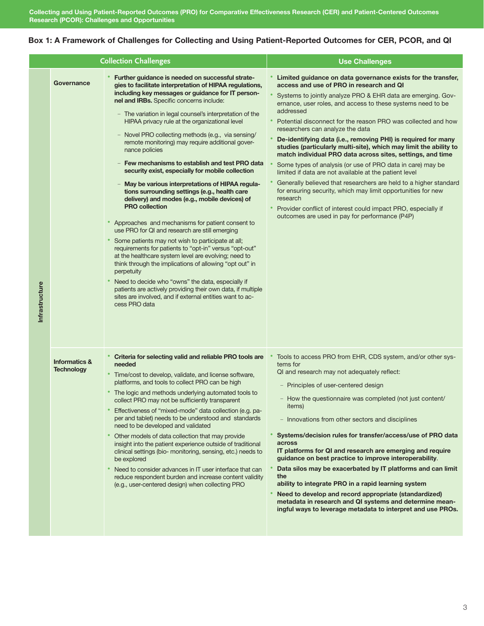#### Box 1: A Framework of Challenges for Collecting and Using Patient-Reported Outcomes for CER, PCOR, and QI

| <b>Collection Challenges</b> |                                               |                                                                                                                                                                                                                                                                                                                                                                                                                                                                                                                                                                                                                                                                                                                                                                                                                                                                                                                                                                                                                                                                                                                                                                                                                                                                                                  | <b>Use Challenges</b>                                                                                                                                                                                                                                                                                                                                                                                                                                                                                                                                                                                                                                                                                                                                                                                                                                                                                                                                     |
|------------------------------|-----------------------------------------------|--------------------------------------------------------------------------------------------------------------------------------------------------------------------------------------------------------------------------------------------------------------------------------------------------------------------------------------------------------------------------------------------------------------------------------------------------------------------------------------------------------------------------------------------------------------------------------------------------------------------------------------------------------------------------------------------------------------------------------------------------------------------------------------------------------------------------------------------------------------------------------------------------------------------------------------------------------------------------------------------------------------------------------------------------------------------------------------------------------------------------------------------------------------------------------------------------------------------------------------------------------------------------------------------------|-----------------------------------------------------------------------------------------------------------------------------------------------------------------------------------------------------------------------------------------------------------------------------------------------------------------------------------------------------------------------------------------------------------------------------------------------------------------------------------------------------------------------------------------------------------------------------------------------------------------------------------------------------------------------------------------------------------------------------------------------------------------------------------------------------------------------------------------------------------------------------------------------------------------------------------------------------------|
| Infrastructure               | Governance                                    | Further guidance is needed on successful strate-<br>gies to facilitate interpretation of HIPAA regulations,<br>including key messages or guidance for IT person-<br>nel and IRBs. Specific concerns include:<br>- The variation in legal counsel's interpretation of the<br>HIPAA privacy rule at the organizational level<br>- Novel PRO collecting methods (e.g., via sensing/<br>remote monitoring) may require additional gover-<br>nance policies<br>Few mechanisms to establish and test PRO data<br>security exist, especially for mobile collection<br>May be various interpretations of HIPAA regula-<br>tions surrounding settings (e.g., health care<br>delivery) and modes (e.g., mobile devices) of<br><b>PRO collection</b><br>Approaches and mechanisms for patient consent to<br>use PRO for QI and research are still emerging<br>Some patients may not wish to participate at all;<br>requirements for patients to "opt-in" versus "opt-out"<br>at the healthcare system level are evolving; need to<br>think through the implications of allowing "opt out" in<br>perpetuity<br>Need to decide who "owns" the data, especially if<br>patients are actively providing their own data, if multiple<br>sites are involved, and if external entities want to ac-<br>cess PRO data | Limited guidance on data governance exists for the transfer,<br>access and use of PRO in research and QI<br>Systems to jointly analyze PRO & EHR data are emerging. Gov-<br>ernance, user roles, and access to these systems need to be<br>addressed<br>Potential disconnect for the reason PRO was collected and how<br>researchers can analyze the data<br>De-identifying data (i.e., removing PHI) is required for many<br>studies (particularly multi-site), which may limit the ability to<br>match individual PRO data across sites, settings, and time<br>Some types of analysis (or use of PRO data in care) may be<br>limited if data are not available at the patient level<br>Generally believed that researchers are held to a higher standard<br>for ensuring security, which may limit opportunities for new<br>research<br>Provider conflict of interest could impact PRO, especially if<br>outcomes are used in pay for performance (P4P) |
|                              | <b>Informatics &amp;</b><br><b>Technology</b> | Criteria for selecting valid and reliable PRO tools are<br>needed<br>Time/cost to develop, validate, and license software,<br>platforms, and tools to collect PRO can be high<br>The logic and methods underlying automated tools to<br>collect PRO may not be sufficiently transparent<br>Effectiveness of "mixed-mode" data collection (e.g. pa-<br>per and tablet) needs to be understood and standards<br>need to be developed and validated<br>Other models of data collection that may provide<br>insight into the patient experience outside of traditional<br>clinical settings (bio- monitoring, sensing, etc.) needs to<br>be explored<br>Need to consider advances in IT user interface that can<br>reduce respondent burden and increase content validity<br>(e.g., user-centered design) when collecting PRO                                                                                                                                                                                                                                                                                                                                                                                                                                                                        | Tools to access PRO from EHR, CDS system, and/or other sys-<br>tems for<br>QI and research may not adequately reflect:<br>Principles of user-centered design<br>- How the questionnaire was completed (not just content/<br>items)<br>- Innovations from other sectors and disciplines<br>Systems/decision rules for transfer/access/use of PRO data<br>across<br>IT platforms for QI and research are emerging and require<br>guidance on best practice to improve interoperability.<br>Data silos may be exacerbated by IT platforms and can limit<br>the<br>ability to integrate PRO in a rapid learning system<br>Need to develop and record appropriate (standardized)<br>metadata in research and QI systems and determine mean-<br>ingful ways to leverage metadata to interpret and use PROs.                                                                                                                                                     |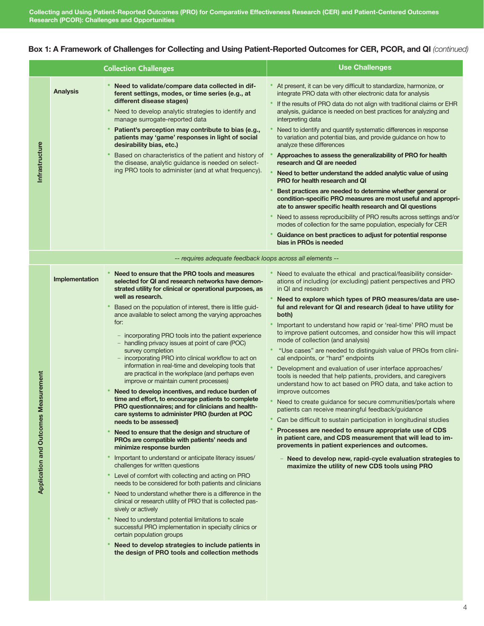#### Box 1: A Framework of Challenges for Collecting and Using Patient-Reported Outcomes for CER, PCOR, and QI *(continued)*

|                                                |                 | <b>Collection Challenges</b>                                                                                                                                                                                                                                                                                                                                                                                                                                                                                                                                                                                                                                                                                                                                                                                                                                                                                                                                                                                                                                                                                                                                                                                                                                                                                                                                                                                                                                                                                                                                                                                                                               | <b>Use Challenges</b>                                                                                                                                                                                                                                                                                                                                                                                                                                                                                                                                                                                                                                                                                                                                                                                                                                                                                                                                                                                                                                                                                                                                                                                                                                                                    |
|------------------------------------------------|-----------------|------------------------------------------------------------------------------------------------------------------------------------------------------------------------------------------------------------------------------------------------------------------------------------------------------------------------------------------------------------------------------------------------------------------------------------------------------------------------------------------------------------------------------------------------------------------------------------------------------------------------------------------------------------------------------------------------------------------------------------------------------------------------------------------------------------------------------------------------------------------------------------------------------------------------------------------------------------------------------------------------------------------------------------------------------------------------------------------------------------------------------------------------------------------------------------------------------------------------------------------------------------------------------------------------------------------------------------------------------------------------------------------------------------------------------------------------------------------------------------------------------------------------------------------------------------------------------------------------------------------------------------------------------------|------------------------------------------------------------------------------------------------------------------------------------------------------------------------------------------------------------------------------------------------------------------------------------------------------------------------------------------------------------------------------------------------------------------------------------------------------------------------------------------------------------------------------------------------------------------------------------------------------------------------------------------------------------------------------------------------------------------------------------------------------------------------------------------------------------------------------------------------------------------------------------------------------------------------------------------------------------------------------------------------------------------------------------------------------------------------------------------------------------------------------------------------------------------------------------------------------------------------------------------------------------------------------------------|
| Infrastructure                                 | <b>Analysis</b> | Need to validate/compare data collected in dif-<br>ferent settings, modes, or time series (e.g., at<br>different disease stages)<br>Need to develop analytic strategies to identify and<br>manage surrogate-reported data<br>Patient's perception may contribute to bias (e.g.,<br>patients may 'game' responses in light of social<br>desirability bias, etc.)<br>Based on characteristics of the patient and history of<br>the disease, analytic guidance is needed on select-<br>ing PRO tools to administer (and at what frequency).                                                                                                                                                                                                                                                                                                                                                                                                                                                                                                                                                                                                                                                                                                                                                                                                                                                                                                                                                                                                                                                                                                                   | At present, it can be very difficult to standardize, harmonize, or<br>integrate PRO data with other electronic data for analysis<br>If the results of PRO data do not align with traditional claims or EHR<br>analysis, guidance is needed on best practices for analyzing and<br>interpreting data<br>Need to identify and quantify systematic differences in response<br>to variation and potential bias, and provide guidance on how to<br>analyze these differences<br>Approaches to assess the generalizability of PRO for health<br>research and QI are needed<br>Need to better understand the added analytic value of using<br><b>PRO for health research and QI</b><br>Best practices are needed to determine whether general or<br>condition-specific PRO measures are most useful and appropri-<br>ate to answer specific health research and QI questions<br>Need to assess reproducibility of PRO results across settings and/or<br>modes of collection for the same population, especially for CER<br>Guidance on best practices to adjust for potential response<br>bias in PROs is needed                                                                                                                                                                                |
|                                                |                 | -- requires adequate feedback loops across all elements --                                                                                                                                                                                                                                                                                                                                                                                                                                                                                                                                                                                                                                                                                                                                                                                                                                                                                                                                                                                                                                                                                                                                                                                                                                                                                                                                                                                                                                                                                                                                                                                                 |                                                                                                                                                                                                                                                                                                                                                                                                                                                                                                                                                                                                                                                                                                                                                                                                                                                                                                                                                                                                                                                                                                                                                                                                                                                                                          |
| Measurement<br><b>Application and Outcomes</b> | Implementation  | Need to ensure that the PRO tools and measures<br>selected for QI and research networks have demon-<br>strated utility for clinical or operational purposes, as<br>well as research.<br>Based on the population of interest, there is little guid-<br>ance available to select among the varying approaches<br>for:<br>- incorporating PRO tools into the patient experience<br>- handling privacy issues at point of care (POC)<br>survey completion<br>- incorporating PRO into clinical workflow to act on<br>information in real-time and developing tools that<br>are practical in the workplace (and perhaps even<br>improve or maintain current processes)<br>Need to develop incentives, and reduce burden of<br>time and effort, to encourage patients to complete<br>PRO questionnaires; and for clinicians and health-<br>care systems to administer PRO (burden at POC<br>needs to be assessed)<br>Need to ensure that the design and structure of<br>PROs are compatible with patients' needs and<br>minimize response burden<br>Important to understand or anticipate literacy issues/<br>challenges for written questions<br>Level of comfort with collecting and acting on PRO<br>needs to be considered for both patients and clinicians<br>Need to understand whether there is a difference in the<br>clinical or research utility of PRO that is collected pas-<br>sively or actively<br>Need to understand potential limitations to scale<br>successful PRO implementation in specialty clinics or<br>certain population groups<br>Need to develop strategies to include patients in<br>the design of PRO tools and collection methods | Need to evaluate the ethical and practical/feasibility consider-<br>ations of including (or excluding) patient perspectives and PRO<br>in OI and research<br>Need to explore which types of PRO measures/data are use-<br>ful and relevant for QI and research (ideal to have utility for<br>both)<br>Important to understand how rapid or 'real-time' PRO must be<br>to improve patient outcomes, and consider how this will impact<br>mode of collection (and analysis)<br>"Use cases" are needed to distinguish value of PROs from clini-<br>cal endpoints, or "hard" endpoints<br>Development and evaluation of user interface approaches/<br>tools is needed that help patients, providers, and caregivers<br>understand how to act based on PRO data, and take action to<br>improve outcomes<br>Need to create guidance for secure communities/portals where<br>patients can receive meaningful feedback/guidance<br>Can be difficult to sustain participation in longitudinal studies<br>Processes are needed to ensure appropriate use of CDS<br>in patient care, and CDS measurement that will lead to im-<br>provements in patient experiences and outcomes.<br>- Need to develop new, rapid-cycle evaluation strategies to<br>maximize the utility of new CDS tools using PRO |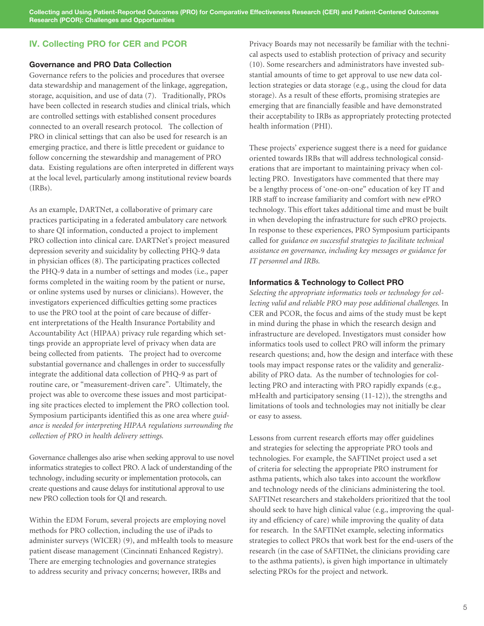**Collecting and Using Patient-Reported Outcomes (PRO) for Comparative Effectiveness Research (CER) and Patient-Centered Outcomes Research (PCOR): Challenges and Opportunities** 

#### IV. Collecting PRO for CER and PCOR

#### Governance and PRO Data Collection

Governance refers to the policies and procedures that oversee data stewardship and management of the linkage, aggregation, storage, acquisition, and use of data (7). Traditionally, PROs have been collected in research studies and clinical trials, which are controlled settings with established consent procedures connected to an overall research protocol. The collection of PRO in clinical settings that can also be used for research is an emerging practice, and there is little precedent or guidance to follow concerning the stewardship and management of PRO data. Existing regulations are often interpreted in different ways at the local level, particularly among institutional review boards (IRBs).

As an example, DARTNet, a collaborative of primary care practices participating in a federated ambulatory care network to share QI information, conducted a project to implement PRO collection into clinical care. DARTNet's project measured depression severity and suicidality by collecting PHQ-9 data in physician offices (8). The participating practices collected the PHQ-9 data in a number of settings and modes (i.e., paper forms completed in the waiting room by the patient or nurse, or online systems used by nurses or clinicians). However, the investigators experienced difficulties getting some practices to use the PRO tool at the point of care because of different interpretations of the Health Insurance Portability and Accountability Act (HIPAA) privacy rule regarding which settings provide an appropriate level of privacy when data are being collected from patients. The project had to overcome substantial governance and challenges in order to successfully integrate the additional data collection of PHQ-9 as part of routine care, or "measurement-driven care". Ultimately, the project was able to overcome these issues and most participating site practices elected to implement the PRO collection tool. Symposium participants identified this as one area where *guidance is needed for interpreting HIPAA regulations surrounding the collection of PRO in health delivery settings.*

Governance challenges also arise when seeking approval to use novel informatics strategies to collect PRO. A lack of understanding of the technology, including security or implementation protocols, can create questions and cause delays for institutional approval to use new PRO collection tools for QI and research.

Within the EDM Forum, several projects are employing novel methods for PRO collection, including the use of iPads to administer surveys (WICER) (9), and mHealth tools to measure patient disease management (Cincinnati Enhanced Registry). There are emerging technologies and governance strategies to address security and privacy concerns; however, IRBs and

Privacy Boards may not necessarily be familiar with the technical aspects used to establish protection of privacy and security (10). Some researchers and administrators have invested substantial amounts of time to get approval to use new data collection strategies or data storage (e.g., using the cloud for data storage). As a result of these efforts, promising strategies are emerging that are financially feasible and have demonstrated their acceptability to IRBs as appropriately protecting protected health information (PHI).

These projects' experience suggest there is a need for guidance oriented towards IRBs that will address technological considerations that are important to maintaining privacy when collecting PRO. Investigators have commented that there may be a lengthy process of 'one-on-one" education of key IT and IRB staff to increase familiarity and comfort with new ePRO technology. This effort takes additional time and must be built in when developing the infrastructure for such ePRO projects. In response to these experiences, PRO Symposium participants called for *guidance on successful strategies to facilitate technical assistance on governance, including key messages or guidance for IT personnel and IRBs.*

#### Informatics & Technology to Collect PRO

*Selecting the appropriate informatics tools or technology for collecting valid and reliable PRO may pose additional challenges.* In CER and PCOR, the focus and aims of the study must be kept in mind during the phase in which the research design and infrastructure are developed. Investigators must consider how informatics tools used to collect PRO will inform the primary research questions; and, how the design and interface with these tools may impact response rates or the validity and generalizability of PRO data. As the number of technologies for collecting PRO and interacting with PRO rapidly expands (e.g., mHealth and participatory sensing (11-12)), the strengths and limitations of tools and technologies may not initially be clear or easy to assess.

Lessons from current research efforts may offer guidelines and strategies for selecting the appropriate PRO tools and technologies. For example, the SAFTINet project used a set of criteria for selecting the appropriate PRO instrument for asthma patients, which also takes into account the workflow and technology needs of the clinicians administering the tool. SAFTINet researchers and stakeholders prioritized that the tool should seek to have high clinical value (e.g., improving the quality and efficiency of care) while improving the quality of data for research. In the SAFTINet example, selecting informatics strategies to collect PROs that work best for the end-users of the research (in the case of SAFTINet, the clinicians providing care to the asthma patients), is given high importance in ultimately selecting PROs for the project and network.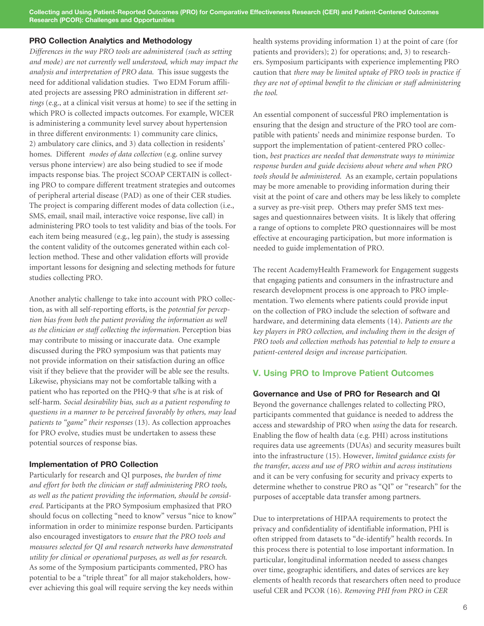**Collecting and Using Patient-Reported Outcomes (PRO) for Comparative Effectiveness Research (CER) and Patient-Centered Outcomes Research (PCOR): Challenges and Opportunities** 

#### PRO Collection Analytics and Methodology

*Differences in the way PRO tools are administered (such as setting and mode) are not currently well understood, which may impact the analysis and interpretation of PRO data.* This issue suggests the need for additional validation studies. Two EDM Forum affiliated projects are assessing PRO administration in different *settings* (e.g., at a clinical visit versus at home) to see if the setting in which PRO is collected impacts outcomes. For example, WICER is administering a community level survey about hypertension in three different environments: 1) community care clinics, 2) ambulatory care clinics, and 3) data collection in residents' homes. Different *modes of data collection* (e.g. online survey versus phone interview) are also being studied to see if mode impacts response bias. The project SCOAP CERTAIN is collecting PRO to compare different treatment strategies and outcomes of peripheral arterial disease (PAD) as one of their CER studies. The project is comparing different modes of data collection (i.e., SMS, email, snail mail, interactive voice response, live call) in administering PRO tools to test validity and bias of the tools. For each item being measured (e.g., leg pain), the study is assessing the content validity of the outcomes generated within each collection method. These and other validation efforts will provide important lessons for designing and selecting methods for future studies collecting PRO.

Another analytic challenge to take into account with PRO collection, as with all self-reporting efforts, is the *potential for perception bias from both the patient providing the information as well as the clinician or staff collecting the information*. Perception bias may contribute to missing or inaccurate data. One example discussed during the PRO symposium was that patients may not provide information on their satisfaction during an office visit if they believe that the provider will be able see the results. Likewise, physicians may not be comfortable talking with a patient who has reported on the PHQ-9 that s/he is at risk of self-harm. *Social desirability bias, such as a patient responding to questions in a manner to be perceived favorably by others, may lead patients to "game" their responses* (13). As collection approaches for PRO evolve, studies must be undertaken to assess these potential sources of response bias.

#### Implementation of PRO Collection

Particularly for research and QI purposes, *the burden of time and effort for both the clinician or staff administering PRO tools, as well as the patient providing the information, should be considered*. Participants at the PRO Symposium emphasized that PRO should focus on collecting "need to know" versus "nice to know" information in order to minimize response burden. Participants also encouraged investigators to *ensure that the PRO tools and measures selected for QI and research networks have demonstrated utility for clinical or operational purposes, as well as for research*. As some of the Symposium participants commented, PRO has potential to be a "triple threat" for all major stakeholders, however achieving this goal will require serving the key needs within

health systems providing information 1) at the point of care (for patients and providers); 2) for operations; and, 3) to researchers. Symposium participants with experience implementing PRO caution that *there may be limited uptake of PRO tools in practice if they are not of optimal benefit to the clinician or staff administering the tool.*

An essential component of successful PRO implementation is ensuring that the design and structure of the PRO tool are compatible with patients' needs and minimize response burden. To support the implementation of patient-centered PRO collection, *best practices are needed that demonstrate ways to minimize response burden and guide decisions about where and when PRO tools should be administered*. As an example, certain populations may be more amenable to providing information during their visit at the point of care and others may be less likely to complete a survey as pre-visit prep. Others may prefer SMS text messages and questionnaires between visits. It is likely that offering a range of options to complete PRO questionnaires will be most effective at encouraging participation, but more information is needed to guide implementation of PRO.

The recent AcademyHealth Framework for Engagement suggests that engaging patients and consumers in the infrastructure and research development process is one approach to PRO implementation. Two elements where patients could provide input on the collection of PRO include the selection of software and hardware, and determining data elements (14). *Patients are the key players in PRO collection, and including them in the design of PRO tools and collection methods has potential to help to ensure a patient-centered design and increase participation.*

#### V. Using PRO to Improve Patient Outcomes

#### Governance and Use of PRO for Research and QI

Beyond the governance challenges related to collecting PRO, participants commented that guidance is needed to address the access and stewardship of PRO when *using* the data for research. Enabling the flow of health data (e.g. PHI) across institutions requires data use agreements (DUAs) and security measures built into the infrastructure (15). However, *limited guidance exists for the transfer, access and use of PRO within and across institutions*  and it can be very confusing for security and privacy experts to determine whether to construe PRO as "QI" or "research" for the purposes of acceptable data transfer among partners.

Due to interpretations of HIPAA requirements to protect the privacy and confidentiality of identifiable information, PHI is often stripped from datasets to "de-identify" health records. In this process there is potential to lose important information. In particular, longitudinal information needed to assess changes over time, geographic identifiers, and dates of services are key elements of health records that researchers often need to produce useful CER and PCOR (16). *Removing PHI from PRO in CER*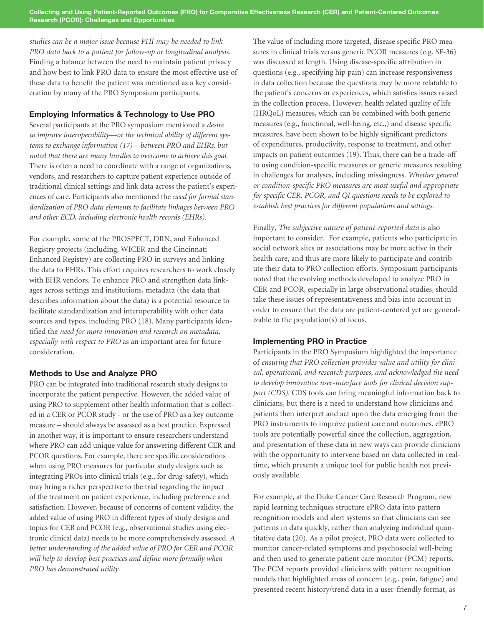*studies can be a major issue because PHI may be needed to link PRO data back to a patient for follow-up or longitudinal analysis.* Finding a balance between the need to maintain patient privacy and how best to link PRO data to ensure the most effective use of these data to benefit the patient was mentioned as a key consideration by many of the PRO Symposium participants.

#### Employing Informatics & Technology to Use PRO

Several participants at the PRO symposium mentioned a *desire to improve interoperability—or the technical ability of different systems to exchange information (17)—between PRO and EHRs, but noted that there are many hurdles to overcome to achieve this goal.*  There is often a need to coordinate with a range of organizations, vendors, and researchers to capture patient experience outside of traditional clinical settings and link data across the patient's experiences of care. Participants also mentioned the *need for formal standardization of PRO data elements to facilitate linkages between PRO and other ECD, including electronic health records (EHRs)*.

For example, some of the PROSPECT, DRN, and Enhanced Registry projects (including, WICER and the Cincinnati Enhanced Registry) are collecting PRO in surveys and linking the data to EHRs. This effort requires researchers to work closely with EHR vendors. To enhance PRO and strengthen data linkages across settings and institutions, metadata (the data that describes information about the data) is a potential resource to facilitate standardization and interoperability with other data sources and types, including PRO (18). Many participants identified the *need for more innovation and research on metadata, especially with respect to PRO* as an important area for future consideration.

#### Methods to Use and Analyze PRO

PRO can be integrated into traditional research study designs to incorporate the patient perspective. However, the added value of using PRO to supplement other health information that is collected in a CER or PCOR study - or the use of PRO as a key outcome measure – should always be assessed as a best practice. Expressed in another way, it is important to ensure researchers understand where PRO can add unique value for answering different CER and PCOR questions. For example, there are specific considerations when using PRO measures for particular study designs such as integrating PROs into clinical trials (e.g., for drug-safety), which may bring a richer perspective to the trial regarding the impact of the treatment on patient experience, including preference and satisfaction. However, because of concerns of content validity, the added value of using PRO in different types of study designs and topics for CER and PCOR (e.g., observational studies using electronic clinical data) needs to be more comprehensively assessed. *A better understanding of the added value of PRO for CER and PCOR will help to develop best practices and define more formally when PRO has demonstrated utility.* 

The value of including more targeted, disease specific PRO measures in clinical trials versus generic PCOR measures (e.g. SF-36) was discussed at length. Using disease-specific attribution in questions (e.g., specifying hip pain) can increase responsiveness in data collection because the questions may be more relatable to the patient's concerns or experiences, which satisfies issues raised in the collection process. However, health related quality of life (HRQoL) measures, which can be combined with both generic measures (e.g., functional, well-being, etc.,) and disease specific measures, have been shown to be highly significant predictors of expenditures, productivity, response to treatment, and other impacts on patient outcomes (19). Thus, there can be a trade-off to using condition-specific measures or generic measures resulting in challenges for analyses, including missingness. *Whether general or condition-specific PRO measures are most useful and appropriate for specific CER, PCOR, and QI questions needs to be explored to establish best practices for different populations and settings*.

Finally, *The subjective nature of patient-reported data* is also important to consider. For example, patients who participate in social network sites or associations may be more active in their health care, and thus are more likely to participate and contribute their data to PRO collection efforts. Symposium participants noted that the evolving methods developed to analyze PRO in CER and PCOR, especially in large observational studies, should take these issues of representativeness and bias into account in order to ensure that the data are patient-centered yet are generalizable to the population(s) of focus.

#### Implementing PRO in Practice

Participants in the PRO Symposium highlighted the importance of *ensuring that PRO collection provides value and utility for clinical, operational, and research purposes, and acknowledged the need to develop innovative user-interface tools for clinical decision support (CDS).* CDS tools can bring meaningful information back to clinicians, but there is a need to understand how clinicians and patients then interpret and act upon the data emerging from the PRO instruments to improve patient care and outcomes. ePRO tools are potentially powerful since the collection, aggregation, and presentation of these data in new ways can provide clinicians with the opportunity to intervene based on data collected in realtime, which presents a unique tool for public health not previously available.

For example, at the Duke Cancer Care Research Program, new rapid learning techniques structure ePRO data into pattern recognition models and alert systems so that clinicians can see patterns in data quickly, rather than analyzing individual quantitative data (20). As a pilot project, PRO data were collected to monitor cancer-related symptoms and psychosocial well-being and then used to generate patient care monitor (PCM) reports. The PCM reports provided clinicians with pattern recognition models that highlighted areas of concern (e.g., pain, fatigue) and presented recent history/trend data in a user-friendly format, as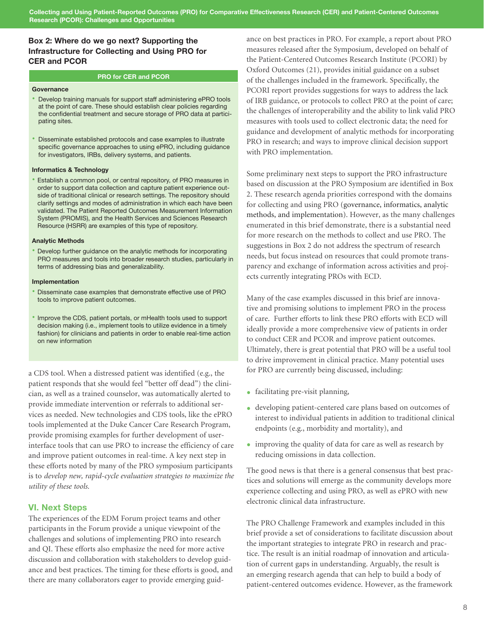#### Box 2: Where do we go next? Supporting the Infrastructure for Collecting and Using PRO for CER and PCOR

#### **PRO for CER and PCOR**

#### **Governance**

- Develop training manuals for support staff administering ePRO tools at the point of care. These should establish clear policies regarding the confidential treatment and secure storage of PRO data at participating sites.
- Disseminate established protocols and case examples to illustrate specific governance approaches to using ePRO, including guidance for investigators, IRBs, delivery systems, and patients.

#### **Informatics & Technology**

• Establish a common pool, or central repository, of PRO measures in order to support data collection and capture patient experience outside of traditional clinical or research settings. The repository should clarify settings and modes of administration in which each have been validated. The Patient Reported Outcomes Measurement Information System (PROMIS), and the Health Services and Sciences Research Resource (HSRR) are examples of this type of repository.

#### **Analytic Methods**

• Develop further guidance on the analytic methods for incorporating PRO measures and tools into broader research studies, particularly in terms of addressing bias and generalizability.

#### **Implementation**

- Disseminate case examples that demonstrate effective use of PRO tools to improve patient outcomes.
- Improve the CDS, patient portals, or mHealth tools used to support decision making (i.e., implement tools to utilize evidence in a timely fashion) for clinicians and patients in order to enable real-time action on new information

a CDS tool. When a distressed patient was identified (e.g., the patient responds that she would feel "better off dead") the clinician, as well as a trained counselor, was automatically alerted to provide immediate intervention or referrals to additional services as needed. New technologies and CDS tools, like the ePRO tools implemented at the Duke Cancer Care Research Program, provide promising examples for further development of userinterface tools that can use PRO to increase the efficiency of care and improve patient outcomes in real-time. A key next step in these efforts noted by many of the PRO symposium participants is to *develop new, rapid-cycle evaluation strategies to maximize the utility of these tools.*

#### VI. Next Steps

The experiences of the EDM Forum project teams and other participants in the Forum provide a unique viewpoint of the challenges and solutions of implementing PRO into research and QI. These efforts also emphasize the need for more active discussion and collaboration with stakeholders to develop guidance and best practices. The timing for these efforts is good, and there are many collaborators eager to provide emerging guidance on best practices in PRO. For example, a report about PRO measures released after the Symposium, developed on behalf of the Patient-Centered Outcomes Research Institute (PCORI) by Oxford Outcomes (21), provides initial guidance on a subset of the challenges included in the framework. Specifically, the PCORI report provides suggestions for ways to address the lack of IRB guidance, or protocols to collect PRO at the point of care; the challenges of interoperability and the ability to link valid PRO measures with tools used to collect electronic data; the need for guidance and development of analytic methods for incorporating PRO in research; and ways to improve clinical decision support with PRO implementation.

Some preliminary next steps to support the PRO infrastructure based on discussion at the PRO Symposium are identified in Box 2. These research agenda priorities correspond with the domains for collecting and using PRO (governance, informatics, analytic methods, and implementation). However, as the many challenges enumerated in this brief demonstrate, there is a substantial need for more research on the methods to collect and use PRO. The suggestions in Box 2 do not address the spectrum of research needs, but focus instead on resources that could promote transparency and exchange of information across activities and projects currently integrating PROs with ECD.

Many of the case examples discussed in this brief are innovative and promising solutions to implement PRO in the process of care. Further efforts to link these PRO efforts with ECD will ideally provide a more comprehensive view of patients in order to conduct CER and PCOR and improve patient outcomes. Ultimately, there is great potential that PRO will be a useful tool to drive improvement in clinical practice. Many potential uses for PRO are currently being discussed, including:

- facilitating pre-visit planning,
- developing patient-centered care plans based on outcomes of interest to individual patients in addition to traditional clinical endpoints (e.g., morbidity and mortality), and
- improving the quality of data for care as well as research by reducing omissions in data collection.

The good news is that there is a general consensus that best practices and solutions will emerge as the community develops more experience collecting and using PRO, as well as ePRO with new electronic clinical data infrastructure.

The PRO Challenge Framework and examples included in this brief provide a set of considerations to facilitate discussion about the important strategies to integrate PRO in research and practice. The result is an initial roadmap of innovation and articulation of current gaps in understanding. Arguably, the result is an emerging research agenda that can help to build a body of patient-centered outcomes evidence. However, as the framework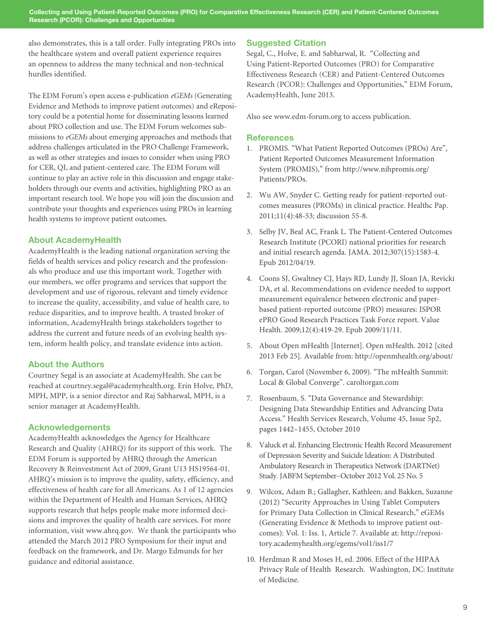also demonstrates, this is a tall order. Fully integrating PROs into the healthcare system and overall patient experience requires an openness to address the many technical and non-technical hurdles identified.

The EDM Forum's open access e-publication *eGEMs* (Generating Evidence and Methods to improve patient outcomes) and eRepository could be a potential home for disseminating lessons learned about PRO collection and use. The EDM Forum welcomes submissions to *eGEMs* about emerging approaches and methods that address challenges articulated in the PRO Challenge Framework, as well as other strategies and issues to consider when using PRO for CER, QI, and patient-centered care. The EDM Forum will continue to play an active role in this discussion and engage stakeholders through our events and activities, highlighting PRO as an important research tool. We hope you will join the discussion and contribute your thoughts and experiences using PROs in learning health systems to improve patient outcomes.

#### About AcademyHealth

AcademyHealth is the leading national organization serving the fields of health services and policy research and the professionals who produce and use this important work. Together with our members, we offer programs and services that support the development and use of rigorous, relevant and timely evidence to increase the quality, accessibility, and value of health care, to reduce disparities, and to improve health. A trusted broker of information, AcademyHealth brings stakeholders together to address the current and future needs of an evolving health system, inform health policy, and translate evidence into action.

#### About the Authors

Courtney Segal is an associate at AcademyHealth. She can be reached at courtney.segal@academyhealth.org. Erin Holve, PhD, MPH, MPP, is a senior director and Raj Sabharwal, MPH, is a senior manager at AcademyHealth.

#### Acknowledgements

AcademyHealth acknowledges the Agency for Healthcare Research and Quality (AHRQ) for its support of this work. The EDM Forum is supported by AHRQ through the American Recovery & Reinvestment Act of 2009, Grant U13 HS19564-01. AHRQ's mission is to improve the quality, safety, efficiency, and effectiveness of health care for all Americans. As 1 of 12 agencies within the Department of Health and Human Services, AHRQ supports research that helps people make more informed decisions and improves the quality of health care services. For more information, visit www.ahrq.gov. We thank the participants who attended the March 2012 PRO Symposium for their input and feedback on the framework, and Dr. Margo Edmunds for her guidance and editorial assistance.

#### Suggested Citation

Segal, C., Holve, E. and Sabharwal, R. "Collecting and Using Patient-Reported Outcomes (PRO) for Comparative Effectiveness Research (CER) and Patient-Centered Outcomes Research (PCOR): Challenges and Opportunities," EDM Forum, AcademyHealth, June 2013.

Also see www.edm-forum.org to access publication.

#### **References**

- 1. PROMIS. "What Patient Reported Outcomes (PROs) Are", Patient Reported Outcomes Measurement Information System (PROMIS)," from http://www.nihpromis.org/ Patients/PROs.
- 2. Wu AW, Snyder C. Getting ready for patient-reported outcomes measures (PROMs) in clinical practice. Healthc Pap. 2011;11(4):48-53; discussion 55-8.
- 3. Selby JV, Beal AC, Frank L. The Patient-Centered Outcomes Research Institute (PCORI) national priorities for research and initial research agenda. JAMA. 2012;307(15):1583-4. Epub 2012/04/19.
- 4. Coons SJ, Gwaltney CJ, Hays RD, Lundy JJ, Sloan JA, Revicki DA, et al. Recommendations on evidence needed to support measurement equivalence between electronic and paperbased patient-reported outcome (PRO) measures: ISPOR ePRO Good Research Practices Task Force report. Value Health. 2009;12(4):419-29. Epub 2009/11/11.
- 5. About Open mHealth [Internet]. Open mHealth. 2012 [cited 2013 Feb 25]. Available from: http://openmhealth.org/about/
- 6. Torgan, Carol (November 6, 2009). "The mHealth Summit: Local & Global Converge". caroltorgan.com
- 7. Rosenbaum, S. "Data Governance and Stewardship: Designing Data Stewardship Entities and Advancing Data Access." Health Services Research, Volume 45, Issue 5p2, pages 1442–1455, October 2010
- 8. Valuck et al. Enhancing Electronic Health Record Measurement of Depression Severity and Suicide Ideation: A Distributed Ambulatory Research in Therapeutics Network (DARTNet) Study. JABFM September–October 2012 Vol. 25 No. 5
- 9. Wilcox, Adam B.; Gallagher, Kathleen; and Bakken, Suzanne (2012) "Security Approaches in Using Tablet Computers for Primary Data Collection in Clinical Research," eGEMs (Generating Evidence & Methods to improve patient outcomes): Vol. 1: Iss. 1, Article 7. Available at: http://repository.academyhealth.org/egems/vol1/iss1/7
- 10. Herdman R and Moses H, ed. 2006. Effect of the HIPAA Privacy Rule of Health Research. Washington, DC: Institute of Medicine.